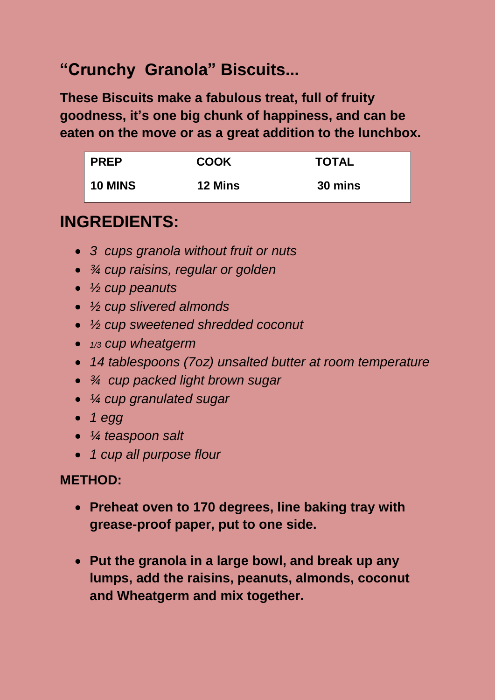## **"Crunchy Granola" Biscuits...**

**These Biscuits make a fabulous treat, full of fruity goodness, it's one big chunk of happiness, and can be eaten on the move or as a great addition to the lunchbox.**

| <b>PREP</b>    | <b>COOK</b>    | <b>TOTAL</b> |
|----------------|----------------|--------------|
| <b>10 MINS</b> | <b>12 Mins</b> | 30 mins      |

## **INGREDIENTS:**

- *3 cups granola without fruit or nuts*
- *¾ cup raisins, regular or golden*
- *½ cup peanuts*
- *½ cup slivered almonds*
- *½ cup sweetened shredded coconut*
- *1/3 cup wheatgerm*
- *14 tablespoons (7oz) unsalted butter at room temperature*
- *¾ cup packed light brown sugar*
- *¼ cup granulated sugar*
- *1 egg*
- *¼ teaspoon salt*
- *1 cup all purpose flour*

## **METHOD:**

- **Preheat oven to 170 degrees, line baking tray with grease-proof paper, put to one side.**
- **Put the granola in a large bowl, and break up any lumps, add the raisins, peanuts, almonds, coconut and Wheatgerm and mix together.**